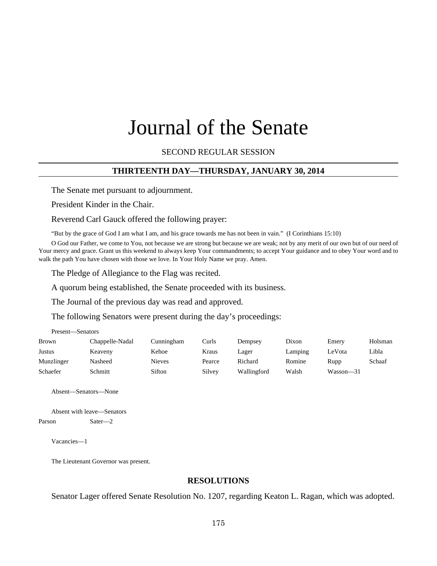# Journal of the Senate

SECOND REGULAR SESSION

# **THIRTEENTH DAY—THURSDAY, JANUARY 30, 2014**

The Senate met pursuant to adjournment.

President Kinder in the Chair.

Reverend Carl Gauck offered the following prayer:

"But by the grace of God I am what I am, and his grace towards me has not been in vain." (I Corinthians 15:10)

O God our Father, we come to You, not because we are strong but because we are weak; not by any merit of our own but of our need of Your mercy and grace. Grant us this weekend to always keep Your commandments; to accept Your guidance and to obey Your word and to walk the path You have chosen with those we love. In Your Holy Name we pray. Amen.

The Pledge of Allegiance to the Flag was recited.

A quorum being established, the Senate proceeded with its business.

The Journal of the previous day was read and approved.

The following Senators were present during the day's proceedings:

Present—Senators

| Brown      | Chappelle-Nadal | Cunningham    | Curls  | Dempsev     | Dixon   | Emery     | Holsman |
|------------|-----------------|---------------|--------|-------------|---------|-----------|---------|
| Justus     | Keaveny         | Kehoe         | Kraus  | Lager       | Lamping | LeVota    | Libla   |
| Munzlinger | Nasheed         | <b>Nieves</b> | Pearce | Richard     | Romine  | Rupp      | Schaaf  |
| Schaefer   | Schmitt         | Sifton        | Silvey | Wallingford | Walsh   | Wasson—31 |         |

Absent—Senators—None

```
Absent with leave—Senators
Parson Sater—2
```
Vacancies—1

The Lieutenant Governor was present.

# **RESOLUTIONS**

Senator Lager offered Senate Resolution No. 1207, regarding Keaton L. Ragan, which was adopted.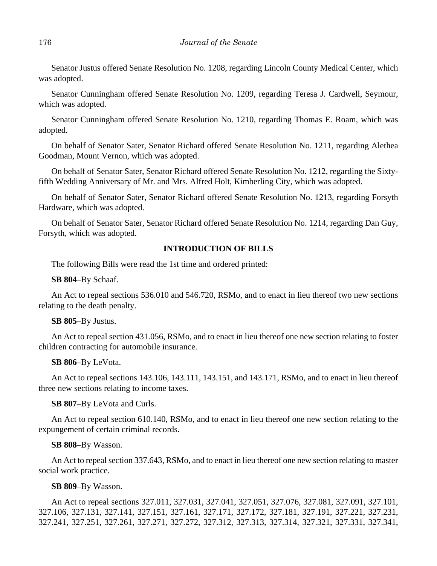Senator Justus offered Senate Resolution No. 1208, regarding Lincoln County Medical Center, which was adopted.

Senator Cunningham offered Senate Resolution No. 1209, regarding Teresa J. Cardwell, Seymour, which was adopted.

Senator Cunningham offered Senate Resolution No. 1210, regarding Thomas E. Roam, which was adopted.

On behalf of Senator Sater, Senator Richard offered Senate Resolution No. 1211, regarding Alethea Goodman, Mount Vernon, which was adopted.

On behalf of Senator Sater, Senator Richard offered Senate Resolution No. 1212, regarding the Sixtyfifth Wedding Anniversary of Mr. and Mrs. Alfred Holt, Kimberling City, which was adopted.

On behalf of Senator Sater, Senator Richard offered Senate Resolution No. 1213, regarding Forsyth Hardware, which was adopted.

On behalf of Senator Sater, Senator Richard offered Senate Resolution No. 1214, regarding Dan Guy, Forsyth, which was adopted.

# **INTRODUCTION OF BILLS**

The following Bills were read the 1st time and ordered printed:

**SB 804**–By Schaaf.

An Act to repeal sections 536.010 and 546.720, RSMo, and to enact in lieu thereof two new sections relating to the death penalty.

# **SB 805**–By Justus.

An Act to repeal section 431.056, RSMo, and to enact in lieu thereof one new section relating to foster children contracting for automobile insurance.

**SB 806**–By LeVota.

An Act to repeal sections 143.106, 143.111, 143.151, and 143.171, RSMo, and to enact in lieu thereof three new sections relating to income taxes.

**SB 807**–By LeVota and Curls.

An Act to repeal section 610.140, RSMo, and to enact in lieu thereof one new section relating to the expungement of certain criminal records.

## **SB 808**–By Wasson.

An Act to repeal section 337.643, RSMo, and to enact in lieu thereof one new section relating to master social work practice.

## **SB 809**–By Wasson.

An Act to repeal sections 327.011, 327.031, 327.041, 327.051, 327.076, 327.081, 327.091, 327.101, 327.106, 327.131, 327.141, 327.151, 327.161, 327.171, 327.172, 327.181, 327.191, 327.221, 327.231, 327.241, 327.251, 327.261, 327.271, 327.272, 327.312, 327.313, 327.314, 327.321, 327.331, 327.341,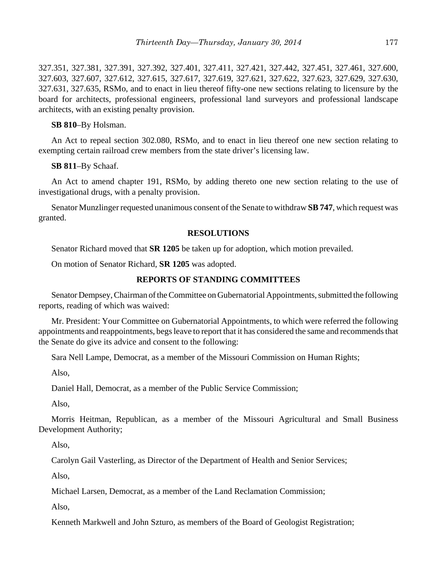327.351, 327.381, 327.391, 327.392, 327.401, 327.411, 327.421, 327.442, 327.451, 327.461, 327.600, 327.603, 327.607, 327.612, 327.615, 327.617, 327.619, 327.621, 327.622, 327.623, 327.629, 327.630, 327.631, 327.635, RSMo, and to enact in lieu thereof fifty-one new sections relating to licensure by the board for architects, professional engineers, professional land surveyors and professional landscape architects, with an existing penalty provision.

# **SB 810**–By Holsman.

An Act to repeal section 302.080, RSMo, and to enact in lieu thereof one new section relating to exempting certain railroad crew members from the state driver's licensing law.

## **SB 811**–By Schaaf.

An Act to amend chapter 191, RSMo, by adding thereto one new section relating to the use of investigational drugs, with a penalty provision.

Senator Munzlinger requested unanimous consent of the Senate to withdraw **SB 747**, which request was granted.

## **RESOLUTIONS**

Senator Richard moved that **SR 1205** be taken up for adoption, which motion prevailed.

On motion of Senator Richard, **SR 1205** was adopted.

# **REPORTS OF STANDING COMMITTEES**

Senator Dempsey, Chairman of the Committee on Gubernatorial Appointments, submitted the following reports, reading of which was waived:

Mr. President: Your Committee on Gubernatorial Appointments, to which were referred the following appointments and reappointments, begs leave to report that it has considered the same and recommends that the Senate do give its advice and consent to the following:

Sara Nell Lampe, Democrat, as a member of the Missouri Commission on Human Rights;

Also,

Daniel Hall, Democrat, as a member of the Public Service Commission;

Also,

Morris Heitman, Republican, as a member of the Missouri Agricultural and Small Business Development Authority;

Also,

Carolyn Gail Vasterling, as Director of the Department of Health and Senior Services;

Also,

Michael Larsen, Democrat, as a member of the Land Reclamation Commission;

Also,

Kenneth Markwell and John Szturo, as members of the Board of Geologist Registration;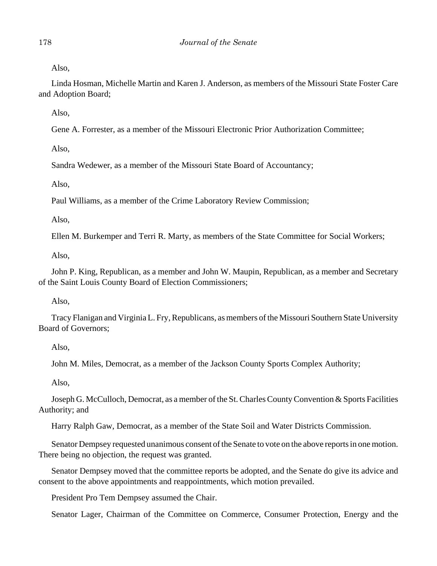Also,

Linda Hosman, Michelle Martin and Karen J. Anderson, as members of the Missouri State Foster Care and Adoption Board;

Also,

Gene A. Forrester, as a member of the Missouri Electronic Prior Authorization Committee;

Also,

Sandra Wedewer, as a member of the Missouri State Board of Accountancy;

Also,

Paul Williams, as a member of the Crime Laboratory Review Commission;

Also,

Ellen M. Burkemper and Terri R. Marty, as members of the State Committee for Social Workers;

Also,

John P. King, Republican, as a member and John W. Maupin, Republican, as a member and Secretary of the Saint Louis County Board of Election Commissioners;

Also,

Tracy Flanigan and Virginia L. Fry, Republicans, as members of the Missouri Southern State University Board of Governors;

Also,

John M. Miles, Democrat, as a member of the Jackson County Sports Complex Authority;

Also,

Joseph G. McCulloch, Democrat, as a member of the St. Charles County Convention & Sports Facilities Authority; and

Harry Ralph Gaw, Democrat, as a member of the State Soil and Water Districts Commission.

Senator Dempsey requested unanimous consent of the Senate to vote on the above reports in one motion. There being no objection, the request was granted.

Senator Dempsey moved that the committee reports be adopted, and the Senate do give its advice and consent to the above appointments and reappointments, which motion prevailed.

President Pro Tem Dempsey assumed the Chair.

Senator Lager, Chairman of the Committee on Commerce, Consumer Protection, Energy and the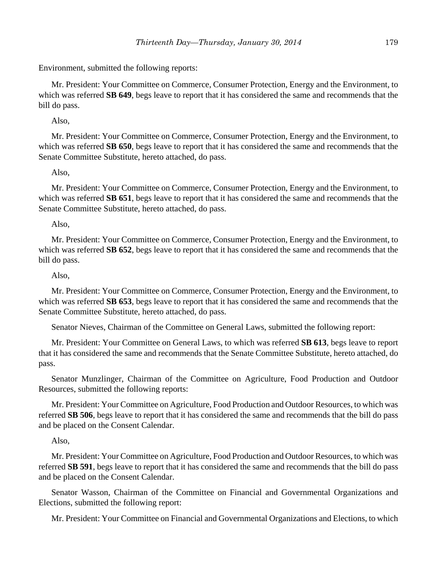Environment, submitted the following reports:

Mr. President: Your Committee on Commerce, Consumer Protection, Energy and the Environment, to which was referred **SB 649**, begs leave to report that it has considered the same and recommends that the bill do pass.

## Also,

Mr. President: Your Committee on Commerce, Consumer Protection, Energy and the Environment, to which was referred **SB 650**, begs leave to report that it has considered the same and recommends that the Senate Committee Substitute, hereto attached, do pass.

## Also,

Mr. President: Your Committee on Commerce, Consumer Protection, Energy and the Environment, to which was referred **SB 651**, begs leave to report that it has considered the same and recommends that the Senate Committee Substitute, hereto attached, do pass.

## Also,

Mr. President: Your Committee on Commerce, Consumer Protection, Energy and the Environment, to which was referred **SB 652**, begs leave to report that it has considered the same and recommends that the bill do pass.

# Also,

Mr. President: Your Committee on Commerce, Consumer Protection, Energy and the Environment, to which was referred **SB 653**, begs leave to report that it has considered the same and recommends that the Senate Committee Substitute, hereto attached, do pass.

Senator Nieves, Chairman of the Committee on General Laws, submitted the following report:

Mr. President: Your Committee on General Laws, to which was referred **SB 613**, begs leave to report that it has considered the same and recommends that the Senate Committee Substitute, hereto attached, do pass.

Senator Munzlinger, Chairman of the Committee on Agriculture, Food Production and Outdoor Resources, submitted the following reports:

Mr. President: Your Committee on Agriculture, Food Production and Outdoor Resources, to which was referred **SB 506**, begs leave to report that it has considered the same and recommends that the bill do pass and be placed on the Consent Calendar.

## Also,

Mr. President: Your Committee on Agriculture, Food Production and Outdoor Resources, to which was referred **SB 591**, begs leave to report that it has considered the same and recommends that the bill do pass and be placed on the Consent Calendar.

Senator Wasson, Chairman of the Committee on Financial and Governmental Organizations and Elections, submitted the following report:

Mr. President: Your Committee on Financial and Governmental Organizations and Elections, to which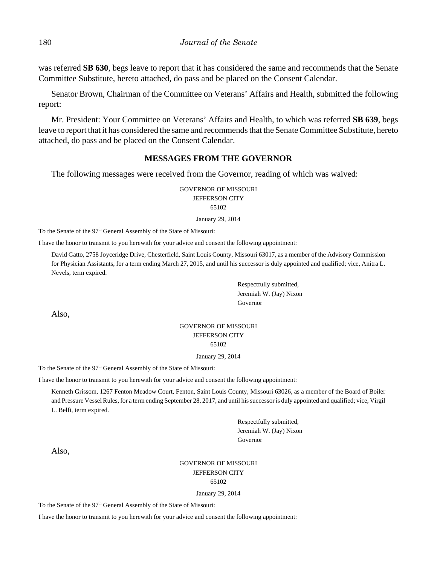was referred **SB 630**, begs leave to report that it has considered the same and recommends that the Senate Committee Substitute, hereto attached, do pass and be placed on the Consent Calendar.

Senator Brown, Chairman of the Committee on Veterans' Affairs and Health, submitted the following report:

Mr. President: Your Committee on Veterans' Affairs and Health, to which was referred **SB 639**, begs leave to report that it has considered the same and recommends that the Senate Committee Substitute, hereto attached, do pass and be placed on the Consent Calendar.

## **MESSAGES FROM THE GOVERNOR**

The following messages were received from the Governor, reading of which was waived:

GOVERNOR OF MISSOURI JEFFERSON CITY 65102

January 29, 2014

To the Senate of the 97<sup>th</sup> General Assembly of the State of Missouri:

I have the honor to transmit to you herewith for your advice and consent the following appointment:

David Gatto, 2758 Joyceridge Drive, Chesterfield, Saint Louis County, Missouri 63017, as a member of the Advisory Commission for Physician Assistants, for a term ending March 27, 2015, and until his successor is duly appointed and qualified; vice, Anitra L. Nevels, term expired.

> Respectfully submitted, Jeremiah W. (Jay) Nixon Governor

Also,

## GOVERNOR OF MISSOURI JEFFERSON CITY 65102

January 29, 2014

To the Senate of the 97<sup>th</sup> General Assembly of the State of Missouri:

I have the honor to transmit to you herewith for your advice and consent the following appointment:

Kenneth Grissom, 1267 Fenton Meadow Court, Fenton, Saint Louis County, Missouri 63026, as a member of the Board of Boiler and Pressure Vessel Rules, for a term ending September 28, 2017, and until his successor is duly appointed and qualified; vice, Virgil L. Belfi, term expired.

> Respectfully submitted, Jeremiah W. (Jay) Nixon Governor

Also,

## GOVERNOR OF MISSOURI JEFFERSON CITY 65102

January 29, 2014

To the Senate of the 97<sup>th</sup> General Assembly of the State of Missouri:

I have the honor to transmit to you herewith for your advice and consent the following appointment: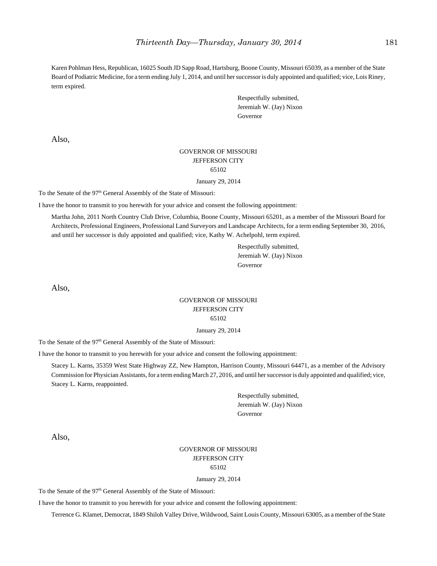Karen Pohlman Hess, Republican, 16025 South JD Sapp Road, Hartsburg, Boone County, Missouri 65039, as a member of the State Board of Podiatric Medicine, for a term ending July 1, 2014, and until her successor is duly appointed and qualified; vice, Lois Riney, term expired.

> Respectfully submitted, Jeremiah W. (Jay) Nixon Governor

Also,

## GOVERNOR OF MISSOURI JEFFERSON CITY 65102

January 29, 2014

To the Senate of the 97<sup>th</sup> General Assembly of the State of Missouri:

I have the honor to transmit to you herewith for your advice and consent the following appointment:

Martha John, 2011 North Country Club Drive, Columbia, Boone County, Missouri 65201, as a member of the Missouri Board for Architects, Professional Engineers, Professional Land Surveyors and Landscape Architects, for a term ending September 30, 2016, and until her successor is duly appointed and qualified; vice, Kathy W. Achelpohl, term expired.

> Respectfully submitted, Jeremiah W. (Jay) Nixon Governor

Also,

# GOVERNOR OF MISSOURI JEFFERSON CITY 65102

January 29, 2014

To the Senate of the 97<sup>th</sup> General Assembly of the State of Missouri:

I have the honor to transmit to you herewith for your advice and consent the following appointment:

Stacey L. Karns, 35359 West State Highway ZZ, New Hampton, Harrison County, Missouri 64471, as a member of the Advisory Commission for Physician Assistants, for a term ending March 27, 2016, and until her successor is duly appointed and qualified; vice, Stacey L. Karns, reappointed.

> Respectfully submitted, Jeremiah W. (Jay) Nixon Governor

Also,

# GOVERNOR OF MISSOURI JEFFERSON CITY 65102

January 29, 2014

To the Senate of the 97<sup>th</sup> General Assembly of the State of Missouri:

I have the honor to transmit to you herewith for your advice and consent the following appointment:

Terrence G. Klamet, Democrat, 1849 Shiloh Valley Drive, Wildwood, Saint Louis County, Missouri 63005, as a member of the State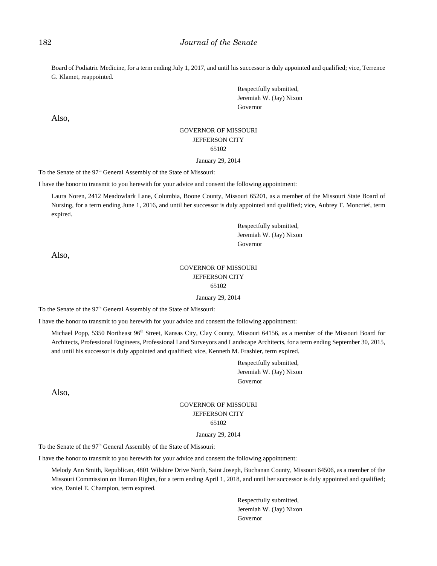Board of Podiatric Medicine, for a term ending July 1, 2017, and until his successor is duly appointed and qualified; vice, Terrence G. Klamet, reappointed.

> Respectfully submitted, Jeremiah W. (Jay) Nixon Governor

Also,

# GOVERNOR OF MISSOURI JEFFERSON CITY 65102

January 29, 2014

To the Senate of the 97<sup>th</sup> General Assembly of the State of Missouri:

I have the honor to transmit to you herewith for your advice and consent the following appointment:

Laura Noren, 2412 Meadowlark Lane, Columbia, Boone County, Missouri 65201, as a member of the Missouri State Board of Nursing, for a term ending June 1, 2016, and until her successor is duly appointed and qualified; vice, Aubrey F. Moncrief, term expired.

> Respectfully submitted, Jeremiah W. (Jay) Nixon Governor

Also,

#### GOVERNOR OF MISSOURI JEFFERSON CITY 65102

January 29, 2014

To the Senate of the 97<sup>th</sup> General Assembly of the State of Missouri:

I have the honor to transmit to you herewith for your advice and consent the following appointment:

Michael Popp, 5350 Northeast 96<sup>th</sup> Street, Kansas City, Clay County, Missouri 64156, as a member of the Missouri Board for Architects, Professional Engineers, Professional Land Surveyors and Landscape Architects, for a term ending September 30, 2015, and until his successor is duly appointed and qualified; vice, Kenneth M. Frashier, term expired.

> Respectfully submitted, Jeremiah W. (Jay) Nixon Governor

Also,

# GOVERNOR OF MISSOURI JEFFERSON CITY 65102

January 29, 2014

To the Senate of the 97<sup>th</sup> General Assembly of the State of Missouri:

I have the honor to transmit to you herewith for your advice and consent the following appointment:

Melody Ann Smith, Republican, 4801 Wilshire Drive North, Saint Joseph, Buchanan County, Missouri 64506, as a member of the Missouri Commission on Human Rights, for a term ending April 1, 2018, and until her successor is duly appointed and qualified; vice, Daniel E. Champion, term expired.

> Respectfully submitted, Jeremiah W. (Jay) Nixon Governor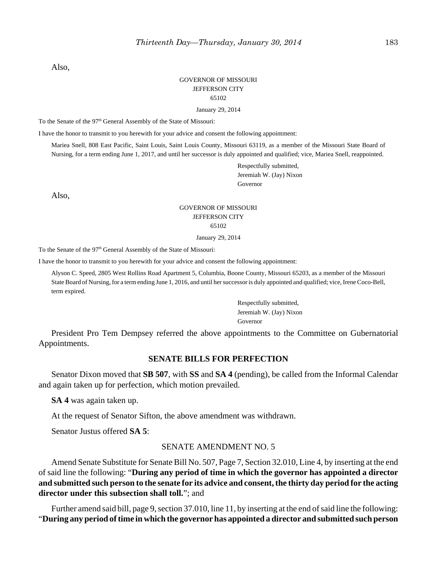Also,

# GOVERNOR OF MISSOURI JEFFERSON CITY 65102

January 29, 2014

To the Senate of the 97<sup>th</sup> General Assembly of the State of Missouri:

I have the honor to transmit to you herewith for your advice and consent the following appointment:

Mariea Snell, 808 East Pacific, Saint Louis, Saint Louis County, Missouri 63119, as a member of the Missouri State Board of Nursing, for a term ending June 1, 2017, and until her successor is duly appointed and qualified; vice, Mariea Snell, reappointed.

> Respectfully submitted, Jeremiah W. (Jay) Nixon Governor

Also,

# GOVERNOR OF MISSOURI JEFFERSON CITY 65102

January 29, 2014

To the Senate of the 97<sup>th</sup> General Assembly of the State of Missouri:

I have the honor to transmit to you herewith for your advice and consent the following appointment:

Alyson C. Speed, 2805 West Rollins Road Apartment 5, Columbia, Boone County, Missouri 65203, as a member of the Missouri State Board of Nursing, for a term ending June 1, 2016, and until her successor is duly appointed and qualified; vice, Irene Coco-Bell, term expired.

> Respectfully submitted, Jeremiah W. (Jay) Nixon Governor

President Pro Tem Dempsey referred the above appointments to the Committee on Gubernatorial Appointments.

## **SENATE BILLS FOR PERFECTION**

Senator Dixon moved that **SB 507**, with **SS** and **SA 4** (pending), be called from the Informal Calendar and again taken up for perfection, which motion prevailed.

**SA 4** was again taken up.

At the request of Senator Sifton, the above amendment was withdrawn.

Senator Justus offered **SA 5**:

#### SENATE AMENDMENT NO. 5

Amend Senate Substitute for Senate Bill No. 507, Page 7, Section 32.010, Line 4, by inserting at the end of said line the following: "**During any period of time in which the governor has appointed a director and submitted such person to the senate for its advice and consent, the thirty day period for the acting director under this subsection shall toll.**"; and

Further amend said bill, page 9, section 37.010, line 11, by inserting at the end of said line the following: "**During any period of time in which the governor has appointed a director and submitted such person**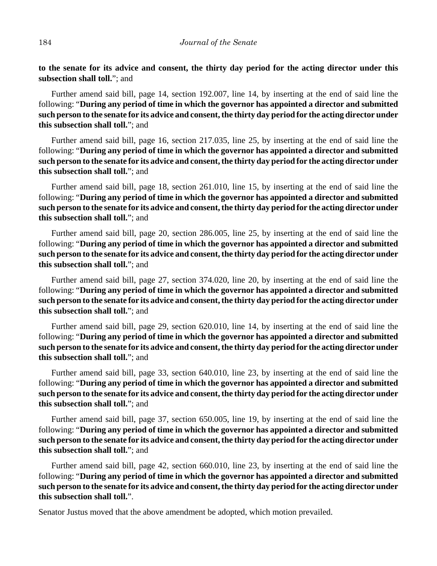**to the senate for its advice and consent, the thirty day period for the acting director under this subsection shall toll.**"; and

Further amend said bill, page 14, section 192.007, line 14, by inserting at the end of said line the following: "**During any period of time in which the governor has appointed a director and submitted such person to the senate for its advice and consent, the thirty day period for the acting director under this subsection shall toll.**"; and

Further amend said bill, page 16, section 217.035, line 25, by inserting at the end of said line the following: "**During any period of time in which the governor has appointed a director and submitted such person to the senate for its advice and consent, the thirty day period for the acting director under this subsection shall toll.**"; and

Further amend said bill, page 18, section 261.010, line 15, by inserting at the end of said line the following: "**During any period of time in which the governor has appointed a director and submitted such person to the senate for its advice and consent, the thirty day period for the acting director under this subsection shall toll.**"; and

Further amend said bill, page 20, section 286.005, line 25, by inserting at the end of said line the following: "**During any period of time in which the governor has appointed a director and submitted such person to the senate for its advice and consent, the thirty day period for the acting director under this subsection shall toll.**"; and

Further amend said bill, page 27, section 374.020, line 20, by inserting at the end of said line the following: "**During any period of time in which the governor has appointed a director and submitted such person to the senate for its advice and consent, the thirty day period for the acting director under this subsection shall toll.**"; and

Further amend said bill, page 29, section 620.010, line 14, by inserting at the end of said line the following: "**During any period of time in which the governor has appointed a director and submitted such person to the senate for its advice and consent, the thirty day period for the acting director under this subsection shall toll.**"; and

Further amend said bill, page 33, section 640.010, line 23, by inserting at the end of said line the following: "**During any period of time in which the governor has appointed a director and submitted such person to the senate for its advice and consent, the thirty day period for the acting director under this subsection shall toll.**"; and

Further amend said bill, page 37, section 650.005, line 19, by inserting at the end of said line the following: "**During any period of time in which the governor has appointed a director and submitted such person to the senate for its advice and consent, the thirty day period for the acting director under this subsection shall toll.**"; and

Further amend said bill, page 42, section 660.010, line 23, by inserting at the end of said line the following: "**During any period of time in which the governor has appointed a director and submitted such person to the senate for its advice and consent, the thirty day period for the acting director under this subsection shall toll.**".

Senator Justus moved that the above amendment be adopted, which motion prevailed.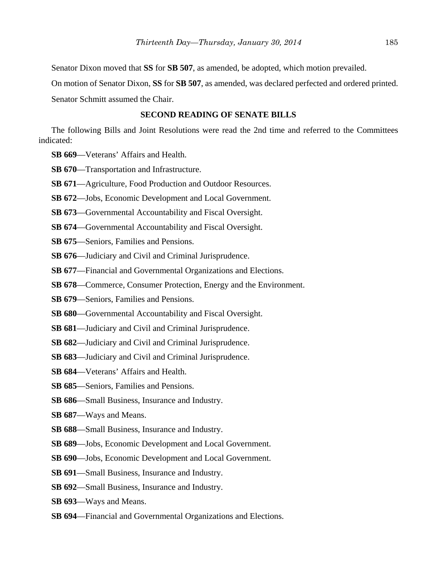Senator Dixon moved that **SS** for **SB 507**, as amended, be adopted, which motion prevailed.

On motion of Senator Dixon, **SS** for **SB 507**, as amended, was declared perfected and ordered printed.

Senator Schmitt assumed the Chair.

# **SECOND READING OF SENATE BILLS**

The following Bills and Joint Resolutions were read the 2nd time and referred to the Committees indicated:

- **SB 669**––Veterans' Affairs and Health.
- **SB 670**—Transportation and Infrastructure.
- **SB 671**––Agriculture, Food Production and Outdoor Resources.
- **SB 672**––Jobs, Economic Development and Local Government.
- **SB 673**––Governmental Accountability and Fiscal Oversight.
- **SB 674**—Governmental Accountability and Fiscal Oversight.
- **SB 675**––Seniors, Families and Pensions.
- **SB 676**—Judiciary and Civil and Criminal Jurisprudence.
- **SB 677**––Financial and Governmental Organizations and Elections.
- **SB 678—Commerce, Consumer Protection, Energy and the Environment.**
- **SB 679**––Seniors, Families and Pensions.
- **SB 680**—Governmental Accountability and Fiscal Oversight.
- **SB 681**––Judiciary and Civil and Criminal Jurisprudence.
- **SB 682**––Judiciary and Civil and Criminal Jurisprudence.
- **SB 683**––Judiciary and Civil and Criminal Jurisprudence.
- **SB 684**––Veterans' Affairs and Health.
- **SB 685**––Seniors, Families and Pensions.
- **SB 686**––Small Business, Insurance and Industry.
- **SB 687**––Ways and Means.
- **SB 688**––Small Business, Insurance and Industry.
- **SB 689**––Jobs, Economic Development and Local Government.
- **SB 690**—Jobs, Economic Development and Local Government.
- **SB 691**––Small Business, Insurance and Industry.
- **SB 692**––Small Business, Insurance and Industry.
- **SB 693**––Ways and Means.
- **SB 694**––Financial and Governmental Organizations and Elections.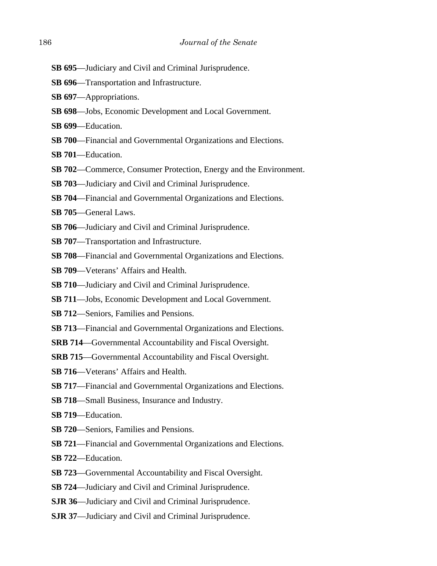- **SB 695**––Judiciary and Civil and Criminal Jurisprudence.
- **SB 696**––Transportation and Infrastructure.
- **SB 697**––Appropriations.
- **SB 698**––Jobs, Economic Development and Local Government.
- **SB 699**––Education.
- **SB 700**––Financial and Governmental Organizations and Elections.
- **SB 701**––Education.
- **SB 702—Commerce, Consumer Protection, Energy and the Environment.**
- **SB 703**––Judiciary and Civil and Criminal Jurisprudence.
- **SB 704**––Financial and Governmental Organizations and Elections.
- **SB 705**––General Laws.
- **SB 706**—Judiciary and Civil and Criminal Jurisprudence.
- **SB 707**—Transportation and Infrastructure.
- **SB 708**––Financial and Governmental Organizations and Elections.
- **SB 709**––Veterans' Affairs and Health.
- **SB 710**—Judiciary and Civil and Criminal Jurisprudence.
- **SB 711**––Jobs, Economic Development and Local Government.
- **SB 712**––Seniors, Families and Pensions.
- **SB 713**––Financial and Governmental Organizations and Elections.
- **SRB 714––Governmental Accountability and Fiscal Oversight.**
- **SRB 715––Governmental Accountability and Fiscal Oversight.**
- **SB 716**––Veterans' Affairs and Health.
- **SB 717**––Financial and Governmental Organizations and Elections.
- **SB 718**––Small Business, Insurance and Industry.
- **SB 719**––Education.
- **SB 720––Seniors, Families and Pensions.**
- **SB 721**––Financial and Governmental Organizations and Elections.
- **SB 722**––Education.
- **SB 723**––Governmental Accountability and Fiscal Oversight.
- **SB 724**––Judiciary and Civil and Criminal Jurisprudence.
- **SJR 36**—Judiciary and Civil and Criminal Jurisprudence.
- **SJR 37**––Judiciary and Civil and Criminal Jurisprudence.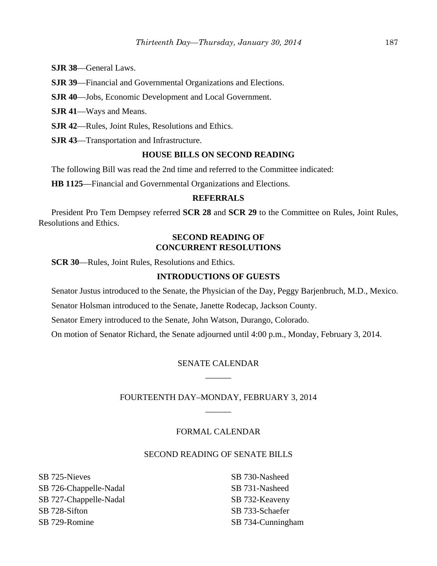**SJR 38**––General Laws.

**SJR 39**––Financial and Governmental Organizations and Elections.

**SJR 40**—Jobs, Economic Development and Local Government.

**SJR 41**––Ways and Means.

**SJR 42**––Rules, Joint Rules, Resolutions and Ethics.

**SJR 43**––Transportation and Infrastructure.

# **HOUSE BILLS ON SECOND READING**

The following Bill was read the 2nd time and referred to the Committee indicated:

**HB 1125**––Financial and Governmental Organizations and Elections.

# **REFERRALS**

President Pro Tem Dempsey referred **SCR 28** and **SCR 29** to the Committee on Rules, Joint Rules, Resolutions and Ethics.

# **SECOND READING OF CONCURRENT RESOLUTIONS**

**SCR 30**—Rules, Joint Rules, Resolutions and Ethics.

# **INTRODUCTIONS OF GUESTS**

Senator Justus introduced to the Senate, the Physician of the Day, Peggy Barjenbruch, M.D., Mexico.

Senator Holsman introduced to the Senate, Janette Rodecap, Jackson County.

Senator Emery introduced to the Senate, John Watson, Durango, Colorado.

On motion of Senator Richard, the Senate adjourned until 4:00 p.m., Monday, February 3, 2014.

# SENATE CALENDAR  $\overline{\phantom{a}}$

# FOURTEENTH DAY–MONDAY, FEBRUARY 3, 2014 \_\_\_\_\_\_

## FORMAL CALENDAR

## SECOND READING OF SENATE BILLS

SB 725-Nieves SB 726-Chappelle-Nadal SB 727-Chappelle-Nadal SB 728-Sifton SB 729-Romine

SB 730-Nasheed SB 731-Nasheed SB 732-Keaveny SB 733-Schaefer SB 734-Cunningham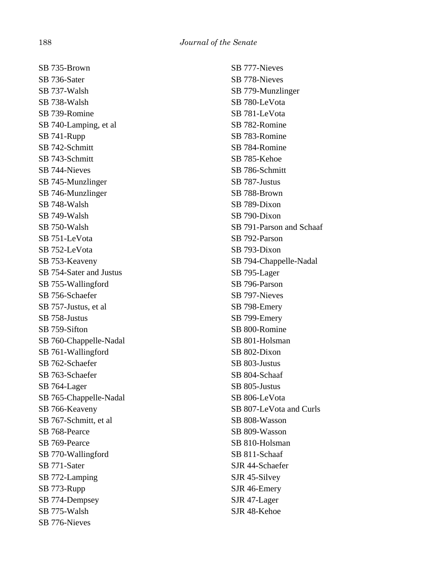SB 735-Brown SB 736-Sater SB 737-Walsh SB 738-Walsh SB 739-Romine SB 740-Lamping, et al SB 741-Rupp SB 742-Schmitt SB 743-Schmitt SB 744-Nieves SB 745-Munzlinger SB 746-Munzlinger SB 748-Walsh SB 749-Walsh SB 750-Walsh SB 751-LeVota SB 752-LeVota SB 753-Keaveny SB 754-Sater and Justus SB 755-Wallingford SB 756-Schaefer SB 757-Justus, et al SB 758-Justus SB 759-Sifton SB 760-Chappelle-Nadal SB 761-Wallingford SB 762-Schaefer SB 763-Schaefer SB 764-Lager SB 765-Chappelle-Nadal SB 766-Keaveny SB 767-Schmitt, et al SB 768-Pearce SB 769-Pearce SB 770-Wallingford SB 771-Sater SB 772-Lamping SB 773-Rupp SB 774-Dempsey SB 775-Walsh SB 776-Nieves

SB 777-Nieves SB 778-Nieves SB 779-Munzlinger SB 780-LeVota SB 781-LeVota SB 782-Romine SB 783-Romine SB 784-Romine SB 785-Kehoe SB 786-Schmitt SB 787-Justus SB 788-Brown SB 789-Dixon SB 790-Dixon SB 791-Parson and Schaaf SB 792-Parson SB 793-Dixon SB 794-Chappelle-Nadal SB 795-Lager SB 796-Parson SB 797-Nieves SB 798-Emery SB 799-Emery SB 800-Romine SB 801-Holsman SB 802-Dixon SB 803-Justus SB 804-Schaaf SB 805-Justus SB 806-LeVota SB 807-LeVota and Curls SB 808-Wasson SB 809-Wasson SB 810-Holsman SB 811-Schaaf SJR 44-Schaefer SJR 45-Silvey SJR 46-Emery SJR 47-Lager SJR 48-Kehoe